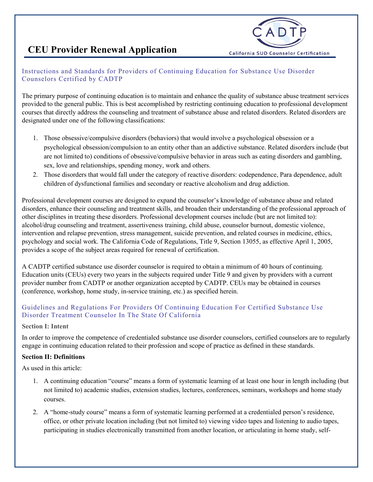# **CEU Provider Renewal Application**



# Instructions and Standards for Providers of Continuing Education for Substance Use Disorder Counselors Certified by CADTP

The primary purpose of continuing education is to maintain and enhance the quality of substance abuse treatment services provided to the general public. This is best accomplished by restricting continuing education to professional development courses that directly address the counseling and treatment of substance abuse and related disorders. Related disorders are designated under one of the following classifications:

- 1. Those obsessive/compulsive disorders (behaviors) that would involve a psychological obsession or a psychological obsession/compulsion to an entity other than an addictive substance. Related disorders include (but are not limited to) conditions of obsessive/compulsive behavior in areas such as eating disorders and gambling, sex, love and relationships, spending money, work and others.
- 2. Those disorders that would fall under the category of reactive disorders: codependence, Para dependence, adult children of dysfunctional families and secondary or reactive alcoholism and drug addiction.

Professional development courses are designed to expand the counselor's knowledge of substance abuse and related disorders, enhance their counseling and treatment skills, and broaden their understanding of the professional approach of other disciplines in treating these disorders. Professional development courses include (but are not limited to): alcohol/drug counseling and treatment, assertiveness training, child abuse, counselor burnout, domestic violence, intervention and relapse prevention, stress management, suicide prevention, and related courses in medicine, ethics, psychology and social work. The California Code of Regulations, Title 9, Section 13055, as effective April 1, 2005, provides a scope of the subject areas required for renewal of certification.

A CADTP certified substance use disorder counselor is required to obtain a minimum of 40 hours of continuing. Education units (CEUs) every two years in the subjects required under Title 9 and given by providers with a current provider number from CADTP or another organization accepted by CADTP. CEUs may be obtained in courses (conference, workshop, home study, in-service training, etc.) as specified herein.

# Guidelines and Regulations For Providers Of Continuing Education For Certified Substance Use Disorder Treatment Counselor In The State Of California

**Section I: Intent**

In order to improve the competence of credentialed substance use disorder counselors, certified counselors are to regularly engage in continuing education related to their profession and scope of practice as defined in these standards.

# **Section II: Definitions**

As used in this article:

- 1. A continuing education "course" means a form of systematic learning of at least one hour in length including (but not limited to) academic studies, extension studies, lectures, conferences, seminars, workshops and home study courses.
- 2. A "home-study course" means a form of systematic learning performed at a credentialed person's residence, office, or other private location including (but not limited to) viewing video tapes and listening to audio tapes, participating in studies electronically transmitted from another location, or articulating in home study, self-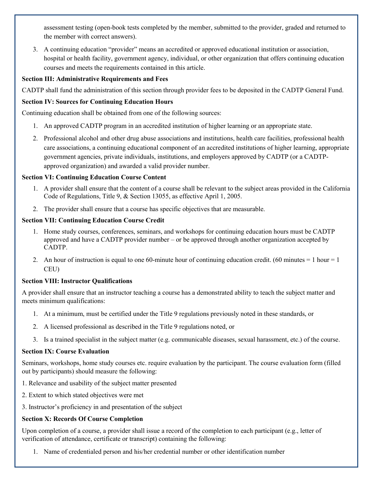assessment testing (open-book tests completed by the member, submitted to the provider, graded and returned to the member with correct answers).

3. A continuing education "provider" means an accredited or approved educational institution or association, hospital or health facility, government agency, individual, or other organization that offers continuing education courses and meets the requirements contained in this article.

### **Section III: Administrative Requirements and Fees**

CADTP shall fund the administration of this section through provider fees to be deposited in the CADTP General Fund.

#### **Section IV: Sources for Continuing Education Hours**

Continuing education shall be obtained from one of the following sources:

- 1. An approved CADTP program in an accredited institution of higher learning or an appropriate state.
- 2. Professional alcohol and other drug abuse associations and institutions, health care facilities, professional health care associations, a continuing educational component of an accredited institutions of higher learning, appropriate government agencies, private individuals, institutions, and employers approved by CADTP (or a CADTPapproved organization) and awarded a valid provider number.

#### **Section VI: Continuing Education Course Content**

- 1. A provider shall ensure that the content of a course shall be relevant to the subject areas provided in the California Code of Regulations, Title 9, & Section 13055, as effective April 1, 2005.
- 2. The provider shall ensure that a course has specific objectives that are measurable.

#### **Section VII: Continuing Education Course Credit**

- 1. Home study courses, conferences, seminars, and workshops for continuing education hours must be CADTP approved and have a CADTP provider number – or be approved through another organization accepted by CADTP.
- 2. An hour of instruction is equal to one 60-minute hour of continuing education credit. (60 minutes  $= 1$  hour  $= 1$ ) CEU)

#### **Section VIII: Instructor Qualifications**

A provider shall ensure that an instructor teaching a course has a demonstrated ability to teach the subject matter and meets minimum qualifications:

- 1. At a minimum, must be certified under the Title 9 regulations previously noted in these standards, or
- 2. A licensed professional as described in the Title 9 regulations noted, or
- 3. Is a trained specialist in the subject matter (e.g. communicable diseases, sexual harassment, etc.) of the course.

#### **Section IX: Course Evaluation**

Seminars, workshops, home study courses etc. require evaluation by the participant. The course evaluation form (filled out by participants) should measure the following:

- 1. Relevance and usability of the subject matter presented
- 2. Extent to which stated objectives were met
- 3. Instructor's proficiency in and presentation of the subject

#### **Section X: Records Of Course Completion**

Upon completion of a course, a provider shall issue a record of the completion to each participant (e.g., letter of verification of attendance, certificate or transcript) containing the following:

1. Name of credentialed person and his/her credential number or other identification number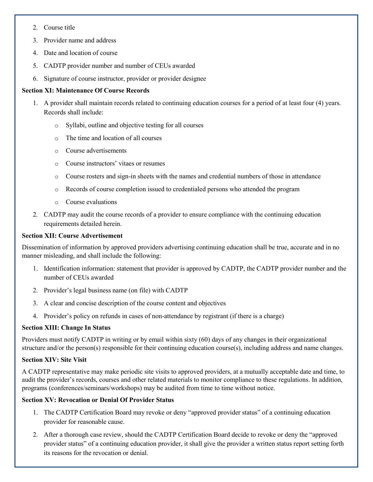- 2. Course title
- 3. Provider name and address
- 4. Date and location of course
- 5. CADTP provider number and number of CEUs awarded
- 6. Signature of course instructor, provider or provider designee

#### **Section XI: Maintenance Of Course Records**

- 1. A provider shall maintain records related to continuing education courses for a period of at least four (4) years. Records shall include:
	- Syllabi, outline and objective testing for all courses
	- o The time and location of all courses
	- o Course advertisements
	- o Course instructors' vitaes or resumes
	- o Course rosters and sign-in sheets with the names and credential numbers of those in attendance
	- o Records of course completion issued to credentialed persons who attended the program
	- o Course evaluations
- 2. CADTP may audit the course records of a provider to ensure compliance with the continuing education requirements detailed herein.

#### **Section XII: Course Advertisement**

Dissemination of information by approved providers advertising continuing education shall be true, accurate and in no manner misleading, and shall include the following:

- 1. Identification information: statement that provider is approved by CADTP, the CADTP provider number and the number of CEUs awarded
- 2. Provider's legal business name (on file) with CADTP
- 3. A clear and concise description of the course content and objectives
- 4. Provider's policy on refunds in cases of non-attendance by registrant (if there is a charge)

#### **Section XIII: Change In Status**

Providers must notify CADTP in writing or by email within sixty (60) days of any changes in their organizational structure and/or the person(s) responsible for their continuing education course(s), including address and name changes.

#### **Section XIV: Site Visit**

A CADTP representative may make periodic site visits to approved providers, at a mutually acceptable date and time, to audit the provider's records, courses and other related materials to monitor compliance to these regulations. In addition, programs (conferences/seminars/workshops) may be audited from time to time without notice.

#### **Section XV: Revocation or Denial Of Provider Status**

- 1. The CADTP Certification Board may revoke or deny "approved provider status" of a continuing education provider for reasonable cause.
- 2. After a thorough case review, should the CADTP Certification Board decide to revoke or deny the "approved provider status" of a continuing education provider, it shall give the provider a written status report setting forth its reasons for the revocation or denial.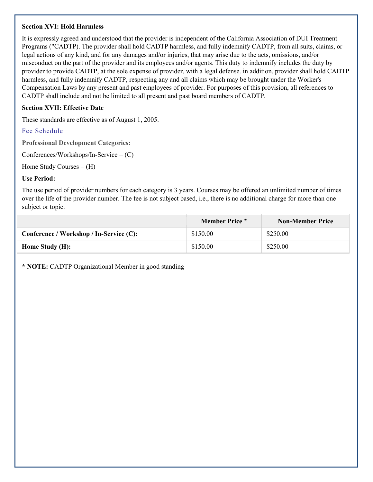#### **Section XVI: Hold Harmless**

It is expressly agreed and understood that the provider is independent of the California Association of DUI Treatment Programs ("CADTP). The provider shall hold CADTP harmless, and fully indemnify CADTP, from all suits, claims, or legal actions of any kind, and for any damages and/or injuries, that may arise due to the acts, omissions, and/or misconduct on the part of the provider and its employees and/or agents. This duty to indemnify includes the duty by provider to provide CADTP, at the sole expense of provider, with a legal defense. in addition, provider shall hold CADTP harmless, and fully indemnify CADTP, respecting any and all claims which may be brought under the Worker's Compensation Laws by any present and past employees of provider. For purposes of this provision, all references to CADTP shall include and not be limited to all present and past board members of CADTP.

#### **Section XVII: Effective Date**

These standards are effective as of August 1, 2005.

#### Fee Schedule

**Professional Development Categories:**

 $Conf$ erences/Workshops/In-Service =  $(C)$ 

Home Study Courses  $=$  (H)

#### **Use Period:**

The use period of provider numbers for each category is 3 years. Courses may be offered an unlimited number of times over the life of the provider number. The fee is not subject based, i.e., there is no additional charge for more than one subject or topic.

|                                         | <b>Member Price</b> * | <b>Non-Member Price</b> |
|-----------------------------------------|-----------------------|-------------------------|
| Conference / Workshop / In-Service (C): | \$150.00              | \$250.00                |
| Home Study (H):                         | \$150.00              | \$250.00                |

**\* NOTE:** CADTP Organizational Member in good standing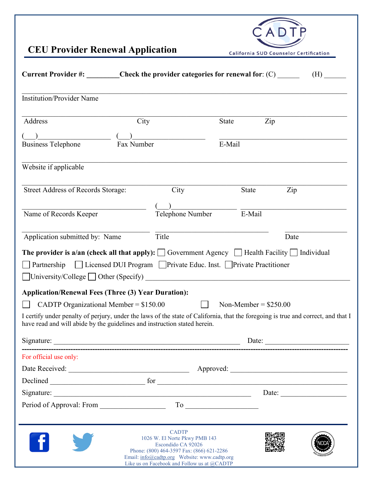



| <b>Institution/Provider Name</b>                                                                                                                                                                                                                          |            |                                                                                                                                                                                                                                                                                                                                                                                                                                                                  |        |                        |      |                                                                                                                                                                                                                                                                                                                                                                                                                          |
|-----------------------------------------------------------------------------------------------------------------------------------------------------------------------------------------------------------------------------------------------------------|------------|------------------------------------------------------------------------------------------------------------------------------------------------------------------------------------------------------------------------------------------------------------------------------------------------------------------------------------------------------------------------------------------------------------------------------------------------------------------|--------|------------------------|------|--------------------------------------------------------------------------------------------------------------------------------------------------------------------------------------------------------------------------------------------------------------------------------------------------------------------------------------------------------------------------------------------------------------------------|
| Address                                                                                                                                                                                                                                                   | City       |                                                                                                                                                                                                                                                                                                                                                                                                                                                                  | State  | Zip                    |      |                                                                                                                                                                                                                                                                                                                                                                                                                          |
|                                                                                                                                                                                                                                                           |            |                                                                                                                                                                                                                                                                                                                                                                                                                                                                  |        |                        |      |                                                                                                                                                                                                                                                                                                                                                                                                                          |
| <b>Business Telephone</b>                                                                                                                                                                                                                                 | Fax Number |                                                                                                                                                                                                                                                                                                                                                                                                                                                                  | E-Mail |                        |      |                                                                                                                                                                                                                                                                                                                                                                                                                          |
| Website if applicable                                                                                                                                                                                                                                     |            |                                                                                                                                                                                                                                                                                                                                                                                                                                                                  |        |                        |      |                                                                                                                                                                                                                                                                                                                                                                                                                          |
| <b>Street Address of Records Storage:</b>                                                                                                                                                                                                                 |            | City                                                                                                                                                                                                                                                                                                                                                                                                                                                             |        | <b>State</b>           | Zip  |                                                                                                                                                                                                                                                                                                                                                                                                                          |
| Name of Records Keeper                                                                                                                                                                                                                                    |            | Telephone Number                                                                                                                                                                                                                                                                                                                                                                                                                                                 |        | E-Mail                 |      |                                                                                                                                                                                                                                                                                                                                                                                                                          |
| Application submitted by: Name                                                                                                                                                                                                                            |            | Title                                                                                                                                                                                                                                                                                                                                                                                                                                                            |        |                        | Date |                                                                                                                                                                                                                                                                                                                                                                                                                          |
|                                                                                                                                                                                                                                                           |            |                                                                                                                                                                                                                                                                                                                                                                                                                                                                  |        |                        |      |                                                                                                                                                                                                                                                                                                                                                                                                                          |
|                                                                                                                                                                                                                                                           |            |                                                                                                                                                                                                                                                                                                                                                                                                                                                                  |        |                        |      |                                                                                                                                                                                                                                                                                                                                                                                                                          |
| Partnership                                                                                                                                                                                                                                               |            | <b>The provider is a/an (check all that apply):</b> Government Agency $\Box$ Health Facility $\Box$ Individual                                                                                                                                                                                                                                                                                                                                                   |        |                        |      |                                                                                                                                                                                                                                                                                                                                                                                                                          |
|                                                                                                                                                                                                                                                           |            | Licensed DUI Program       Private Educ. Inst.       Private Practitioner                                                                                                                                                                                                                                                                                                                                                                                        |        |                        |      |                                                                                                                                                                                                                                                                                                                                                                                                                          |
|                                                                                                                                                                                                                                                           |            |                                                                                                                                                                                                                                                                                                                                                                                                                                                                  |        |                        |      |                                                                                                                                                                                                                                                                                                                                                                                                                          |
| <b>Application/Renewal Fees (Three (3) Year Duration):</b>                                                                                                                                                                                                |            |                                                                                                                                                                                                                                                                                                                                                                                                                                                                  |        |                        |      |                                                                                                                                                                                                                                                                                                                                                                                                                          |
| CADTP Organizational Member = $$150.00$<br>I certify under penalty of perjury, under the laws of the state of California, that the foregoing is true and correct, and that I<br>have read and will abide by the guidelines and instruction stated herein. |            |                                                                                                                                                                                                                                                                                                                                                                                                                                                                  |        | Non-Member = $$250.00$ |      |                                                                                                                                                                                                                                                                                                                                                                                                                          |
|                                                                                                                                                                                                                                                           |            |                                                                                                                                                                                                                                                                                                                                                                                                                                                                  |        |                        |      |                                                                                                                                                                                                                                                                                                                                                                                                                          |
| For official use only:                                                                                                                                                                                                                                    |            |                                                                                                                                                                                                                                                                                                                                                                                                                                                                  |        |                        |      |                                                                                                                                                                                                                                                                                                                                                                                                                          |
|                                                                                                                                                                                                                                                           |            |                                                                                                                                                                                                                                                                                                                                                                                                                                                                  |        |                        |      |                                                                                                                                                                                                                                                                                                                                                                                                                          |
|                                                                                                                                                                                                                                                           |            |                                                                                                                                                                                                                                                                                                                                                                                                                                                                  |        |                        |      | Date: $\qquad \qquad$                                                                                                                                                                                                                                                                                                                                                                                                    |
|                                                                                                                                                                                                                                                           |            |                                                                                                                                                                                                                                                                                                                                                                                                                                                                  |        |                        |      |                                                                                                                                                                                                                                                                                                                                                                                                                          |
|                                                                                                                                                                                                                                                           |            | $To \begin{tabular}{ c c c } \hline \multicolumn{3}{ c }{\textbf{To}} & \multicolumn{3}{ c }{\textbf{To}}\\ \hline \multicolumn{3}{ c }{\textbf{To}} & \multicolumn{3}{ c }{\textbf{To}}\\ \hline \multicolumn{3}{ c }{\textbf{To}} & \multicolumn{3}{ c }{\textbf{To}}\\ \hline \multicolumn{3}{ c }{\textbf{To}} & \multicolumn{3}{ c }{\textbf{To}}\\ \hline \multicolumn{3}{ c }{\textbf{To}} & \multicolumn{3}{ c }{\textbf{To}}\\ \hline \multicolumn{3}{$ |        |                        |      | Date: $\frac{1}{\sqrt{1-\frac{1}{2}}}\frac{1}{\sqrt{1-\frac{1}{2}}}\frac{1}{\sqrt{1-\frac{1}{2}}}\frac{1}{\sqrt{1-\frac{1}{2}}}\frac{1}{\sqrt{1-\frac{1}{2}}}\frac{1}{\sqrt{1-\frac{1}{2}}}\frac{1}{\sqrt{1-\frac{1}{2}}}\frac{1}{\sqrt{1-\frac{1}{2}}}\frac{1}{\sqrt{1-\frac{1}{2}}}\frac{1}{\sqrt{1-\frac{1}{2}}}\frac{1}{\sqrt{1-\frac{1}{2}}}\frac{1}{\sqrt{1-\frac{1}{2}}}\frac{1}{\sqrt{1-\frac{1}{2}}}\frac{1}{\$ |